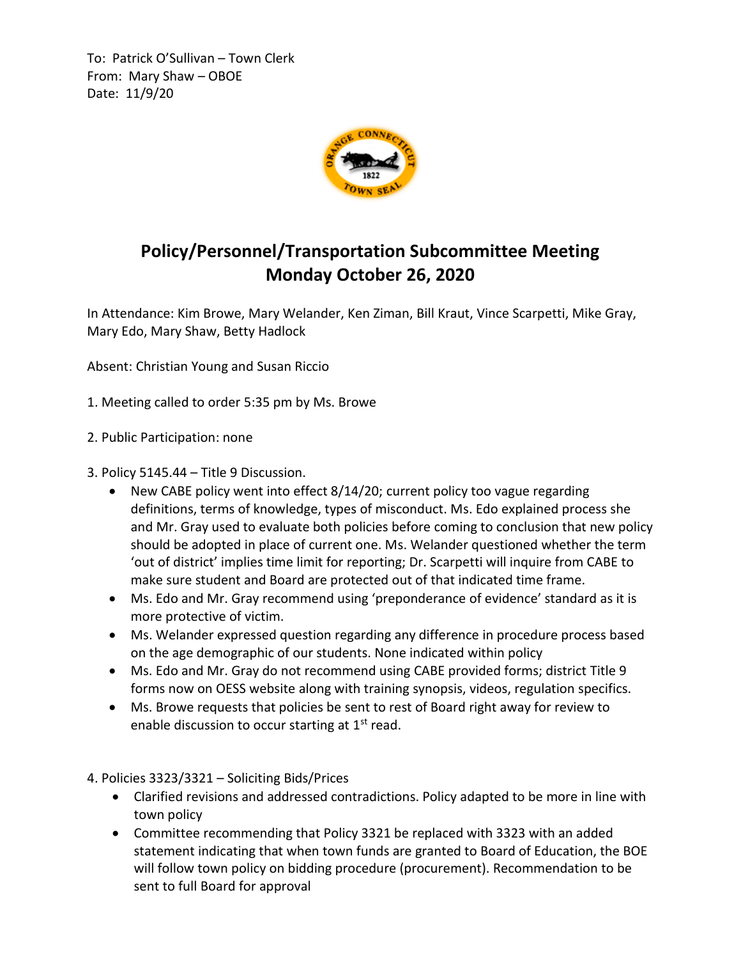To: Patrick O'Sullivan – Town Clerk From: Mary Shaw – OBOE Date: 11/9/20



## **Policy/Personnel/Transportation Subcommittee Meeting Monday October 26, 2020**

In Attendance: Kim Browe, Mary Welander, Ken Ziman, Bill Kraut, Vince Scarpetti, Mike Gray, Mary Edo, Mary Shaw, Betty Hadlock

Absent: Christian Young and Susan Riccio

1. Meeting called to order 5:35 pm by Ms. Browe

- 2. Public Participation: none
- 3. Policy 5145.44 Title 9 Discussion.
	- New CABE policy went into effect 8/14/20; current policy too vague regarding definitions, terms of knowledge, types of misconduct. Ms. Edo explained process she and Mr. Gray used to evaluate both policies before coming to conclusion that new policy should be adopted in place of current one. Ms. Welander questioned whether the term 'out of district' implies time limit for reporting; Dr. Scarpetti will inquire from CABE to make sure student and Board are protected out of that indicated time frame.
	- Ms. Edo and Mr. Gray recommend using 'preponderance of evidence' standard as it is more protective of victim.
	- Ms. Welander expressed question regarding any difference in procedure process based on the age demographic of our students. None indicated within policy
	- Ms. Edo and Mr. Gray do not recommend using CABE provided forms; district Title 9 forms now on OESS website along with training synopsis, videos, regulation specifics.
	- Ms. Browe requests that policies be sent to rest of Board right away for review to enable discussion to occur starting at  $1<sup>st</sup>$  read.

4. Policies 3323/3321 – Soliciting Bids/Prices

- Clarified revisions and addressed contradictions. Policy adapted to be more in line with town policy
- Committee recommending that Policy 3321 be replaced with 3323 with an added statement indicating that when town funds are granted to Board of Education, the BOE will follow town policy on bidding procedure (procurement). Recommendation to be sent to full Board for approval